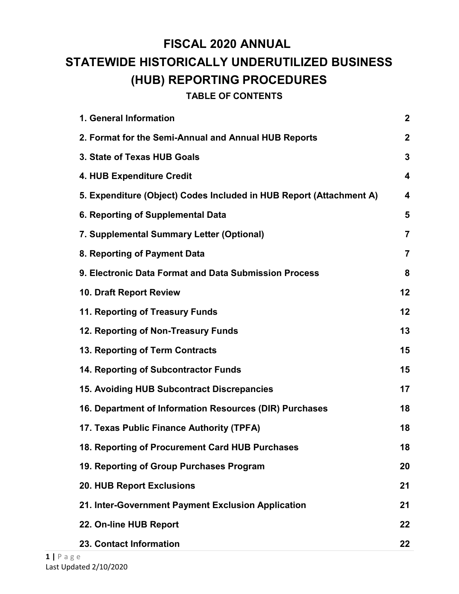# <span id="page-0-0"></span>**FISCAL 2020 ANNUAL STATEWIDE HISTORICALLY UNDERUTILIZED BUSINESS (HUB) REPORTING PROCEDURES**

**TABLE OF CONTENTS**

| 1. General Information                                              | $\boldsymbol{2}$        |
|---------------------------------------------------------------------|-------------------------|
| 2. Format for the Semi-Annual and Annual HUB Reports                | $\boldsymbol{2}$        |
| 3. State of Texas HUB Goals                                         | $\overline{\mathbf{3}}$ |
| 4. HUB Expenditure Credit                                           | $\overline{\mathbf{4}}$ |
| 5. Expenditure (Object) Codes Included in HUB Report (Attachment A) | $\overline{\mathbf{4}}$ |
| 6. Reporting of Supplemental Data                                   | 5                       |
| 7. Supplemental Summary Letter (Optional)                           | $\overline{7}$          |
| 8. Reporting of Payment Data                                        | $\overline{7}$          |
| 9. Electronic Data Format and Data Submission Process               | 8                       |
| 10. Draft Report Review                                             | 12                      |
| 11. Reporting of Treasury Funds                                     | 12                      |
| 12. Reporting of Non-Treasury Funds                                 | 13                      |
| 13. Reporting of Term Contracts                                     | 15                      |
| 14. Reporting of Subcontractor Funds                                | 15                      |
| 15. Avoiding HUB Subcontract Discrepancies                          | 17                      |
| 16. Department of Information Resources (DIR) Purchases             | 18                      |
| 17. Texas Public Finance Authority (TPFA)                           | 18                      |
| 18. Reporting of Procurement Card HUB Purchases                     | 18                      |
| 19. Reporting of Group Purchases Program                            | 20                      |
| <b>20. HUB Report Exclusions</b>                                    | 21                      |
| 21. Inter-Government Payment Exclusion Application                  | 21                      |
| 22. On-line HUB Report                                              | 22                      |
| 23. Contact Information                                             | 22                      |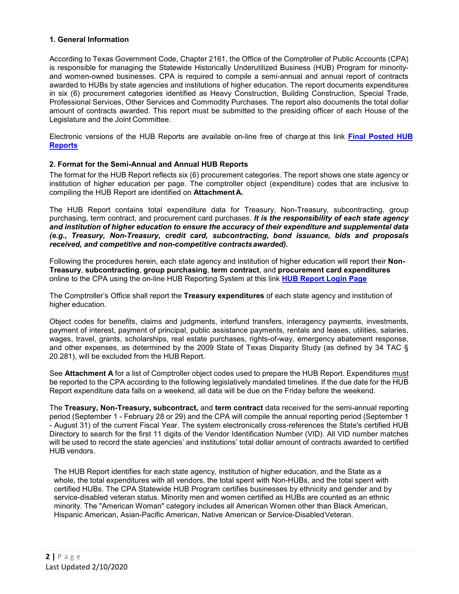#### **1. General Information**

According to Texas Government Code, Chapter 2161, the Office of the Comptroller of Public Accounts (CPA) is responsible for managing the Statewide Historically Underutilized Business (HUB) Program for minorityand women-owned businesses. CPA is required to compile a semi-annual and annual report of contracts awarded to HUBs by state agencies and institutions of higher education. The report documents expenditures in six (6) procurement categories identified as Heavy Construction, Building Construction, Special Trade, Professional Services, Other Services and Commodity Purchases. The report also documents the total dollar amount of contracts awarded. This report must be submitted to the presiding officer of each House of the Legislature and the Joint Committee.

Electronic versions of the HUB Reports are available on-line free of charge at this link **[Final Posted HUB](https://comptroller.texas.gov/purchasing/vendor/hub/reporting.php)  [Reports](https://comptroller.texas.gov/purchasing/vendor/hub/reporting.php)**

#### **2. Format for the Semi-Annual and Annual HUB Reports**

The format for the HUB Report reflects six (6) procurement categories. The report shows one state agency or institution of higher education per page. The comptroller object (expenditure) codes that are inclusive to compiling the HUB Report are identified on **AttachmentA.**

The HUB Report contains total expenditure data for Treasury, Non-Treasury, subcontracting, group purchasing, term contract, and procurement card purchases. *It is the responsibility of each state agency and institution of higher education to ensure the accuracy of their expenditure and supplemental data (e.g., Treasury, Non-Treasury, credit card, subcontracting, bond issuance, bids and proposals received, and competitive and non-competitive contractsawarded).*

Following the procedures herein, each state agency and institution of higher education will report their **Non-Treasury**, **subcontracting**, **group purchasing**, **term contract**, and **procurement card expenditures**  online to the CPA using the on-line HUB Reporting System at this link **[HUB Report Login Page](https://checkout.na1.netsuite.com/c.852252/checkout/login.ssp?n=2&login=T%23login-register%20)**

The Comptroller's Office shall report the **Treasury expenditures** of each state agency and institution of higher education.

Object codes for benefits, claims and judgments, interfund transfers, interagency payments, investments, payment of interest, payment of principal, public assistance payments, rentals and leases, utilities, salaries, wages, travel, grants, scholarships, real estate purchases, rights-of-way, emergency abatement response, and other expenses, as determined by the 2009 State of Texas Disparity Study (as defined by 34 TAC § 20.281), will be excluded from the HUB Report.

See **Attachment A** for a list of Comptroller object codes used to prepare the HUB Report. Expenditures must be reported to the CPA according to the following legislatively mandated timelines. If the due date for the HUB Report expenditure data falls on a weekend, all data will be due on the Friday before the weekend.

The **Treasury, Non-Treasury, subcontract,** and **term contract** data received for the semi-annual reporting period (September 1 - February 28 or 29) and the CPA will compile the annual reporting period (September 1 - August 31) of the current Fiscal Year. The system electronically cross-references the State's certified HUB Directory to search for the first 11 digits of the Vendor Identification Number (VID). All VID number matches will be used to record the state agencies' and institutions' total dollar amount of contracts awarded to certified HUB vendors.

The HUB Report identifies for each state agency, institution of higher education, and the State as a whole, the total expenditures with all vendors, the total spent with Non-HUBs, and the total spent with certified HUBs. The CPA Statewide HUB Program certifies businesses by ethnicity and gender and by service-disabled veteran status. Minority men and women certified as HUBs are counted as an ethnic minority. The "American Woman" category includes all American Women other than Black American, Hispanic American, Asian-Pacific American, Native American or Service-DisabledVeteran.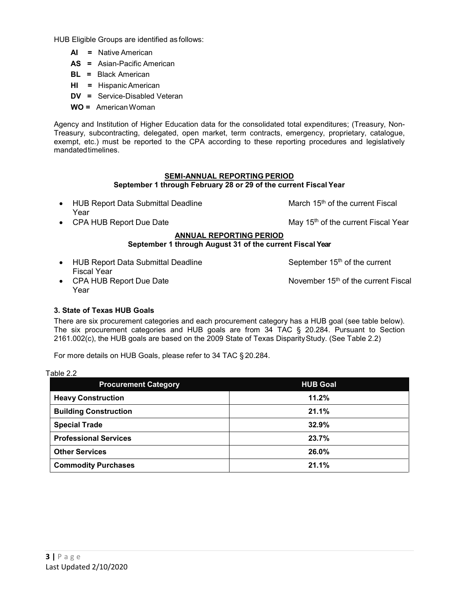HUB Eligible Groups are identified as follows:

- **AI =** Native American
- **AS =** Asian-Pacific American
- **BL =** Black American
- **HI =** HispanicAmerican
- **DV =** Service-Disabled Veteran
- **WO =** AmericanWoman

Agency and Institution of Higher Education data for the consolidated total expenditures; (Treasury, Non-Treasury, subcontracting, delegated, open market, term contracts, emergency, proprietary, catalogue, exempt, etc.) must be reported to the CPA according to these reporting procedures and legislatively mandatedtimelines.

## **SEMI-ANNUAL REPORTING PERIOD**

## **September 1 through February 28 or 29 of the current Fiscal Year**

| <b>HUB Report Data Submittal Deadline</b><br>Year        | March 15 <sup>th</sup> of the current Fiscal    |
|----------------------------------------------------------|-------------------------------------------------|
|                                                          |                                                 |
| • CPA HUB Report Due Date                                | May 15 <sup>th</sup> of the current Fiscal Year |
| <b>ANNUAL REPORTING PERIOD</b>                           |                                                 |
| September 1 through August 31 of the current Fiscal Year |                                                 |
|                                                          |                                                 |
| <b>HUB Report Data Submittal Deadline</b>                | September 15 <sup>th</sup> of the current       |

- Fiscal Year
- CPA HUB Report Due Date November 15<sup>th</sup> of the current Fiscal Year

#### <span id="page-2-0"></span>**3. State of Texas HUB Goals**

There are six procurement categories and each procurement category has a HUB goal (see table below). The six procurement categories and HUB goals are from 34 TAC § 20.284. Pursuant to Section 2161.002(c), the HUB goals are based on the 2009 State of Texas DisparityStudy. (See Table 2.2)

For more details on HUB Goals, please refer to 34 TAC § 20.284.

Table 2.2

| <b>Procurement Category</b>  | <b>HUB Goal</b> |
|------------------------------|-----------------|
| <b>Heavy Construction</b>    | 11.2%           |
| <b>Building Construction</b> | 21.1%           |
| <b>Special Trade</b>         | 32.9%           |
| <b>Professional Services</b> | 23.7%           |
| <b>Other Services</b>        | 26.0%           |
| <b>Commodity Purchases</b>   | 21.1%           |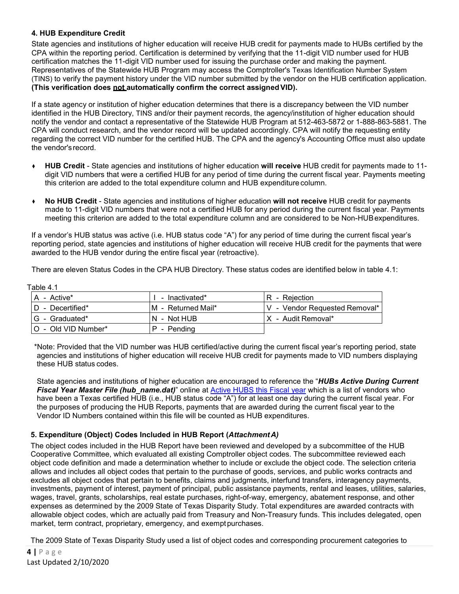## <span id="page-3-0"></span>**4. HUB Expenditure Credit**

State agencies and institutions of higher education will receive HUB credit for payments made to HUBs certified by the CPA within the reporting period. Certification is determined by verifying that the 11-digit VID number used for HUB certification matches the 11-digit VID number used for issuing the purchase order and making the payment. Representatives of the Statewide HUB Program may access the Comptroller's Texas Identification Number System (TINS) to verify the payment history under the VID number submitted by the vendor on the HUB certification application. **(This verification does not automatically confirm the correct assignedVID).**

If a state agency or institution of higher education determines that there is a discrepancy between the VID number identified in the HUB Directory, TINS and/or their payment records, the agency/institution of higher education should notify the vendor and contact a representative of the Statewide HUB Program at 512-463-5872 or 1-888-863-5881. The CPA will conduct research, and the vendor record will be updated accordingly. CPA will notify the requesting entity regarding the correct VID number for the certified HUB. The CPA and the agency's Accounting Office must also update the vendor'srecord.

- ♦ **HUB Credit** State agencies and institutions of higher education **will receive** HUB credit for payments made to 11 digit VID numbers that were a certified HUB for any period of time during the current fiscal year. Payments meeting this criterion are added to the total expenditure column and HUB expenditurecolumn.
- ♦ **No HUB Credit** State agencies and institutions of higher education **will not receive** HUB credit for payments made to 11-digit VID numbers that were not a certified HUB for any period during the current fiscal year. Payments meeting this criterion are added to the total expenditure column and are considered to be Non-HUBexpenditures.

If a vendor's HUB status was active (i.e. HUB status code "A") for any period of time during the current fiscal year's reporting period, state agencies and institutions of higher education will receive HUB credit for the payments that were awarded to the HUB vendor during the entire fiscal year (retroactive).

There are eleven Status Codes in the CPA HUB Directory. These status codes are identified below in table 4.1:

Table 4.1

| $A - Active^*$      | - Inactivated*      | R - Rejection                 |
|---------------------|---------------------|-------------------------------|
|                     |                     |                               |
| D - Decertified*    | IM - Returned Mail* | V - Vendor Requested Removal* |
| IG - Graduated*     | N - Not HUB         | IX - Audit Removal*           |
| O - Old VID Number* | P - Pending         |                               |

\*Note: Provided that the VID number was HUB certified/active during the current fiscal year's reporting period, state agencies and institutions of higher education will receive HUB credit for payments made to VID numbers displaying these HUB status codes.

State agencies and institutions of higher education are encouraged to reference the "*HUBs Active During Current Fiscal Year Master File (hub\_name.dat)*" online at [Active HUBS this Fiscal year](https://comptroller.texas.gov/auto-data/purchasing/hub_name.dat) which is a list of vendors who have been a Texas certified HUB (i.e., HUB status code "A") for at least one day during the current fiscal year. For the purposes of producing the HUB Reports, payments that are awarded during the current fiscal year to the Vendor ID Numbers contained within this file will be counted as HUB expenditures.

## **5. Expenditure (Object) Codes Included in HUB Report (***AttachmentA)*

The object codes included in the HUB Report have been reviewed and developed by a subcommittee of the HUB Cooperative Committee, which evaluated all existing Comptroller object codes. The subcommittee reviewed each object code definition and made a determination whether to include or exclude the object code. The selection criteria allows and includes all object codes that pertain to the purchase of goods, services, and public works contracts and excludes all object codes that pertain to benefits, claims and judgments, interfund transfers, interagency payments, investments, payment of interest, payment of principal, public assistance payments, rental and leases, utilities, salaries, wages, travel, grants, scholarships, real estate purchases, right-of-way, emergency, abatement response, and other expenses as determined by the 2009 State of Texas Disparity Study. Total expenditures are awarded contracts with allowable object codes, which are actually paid from Treasury and Non-Treasury funds. This includes delegated, open market, term contract, proprietary, emergency, and exemptpurchases.

The 2009 State of Texas Disparity Study used a list of object codes and corresponding procurement categories to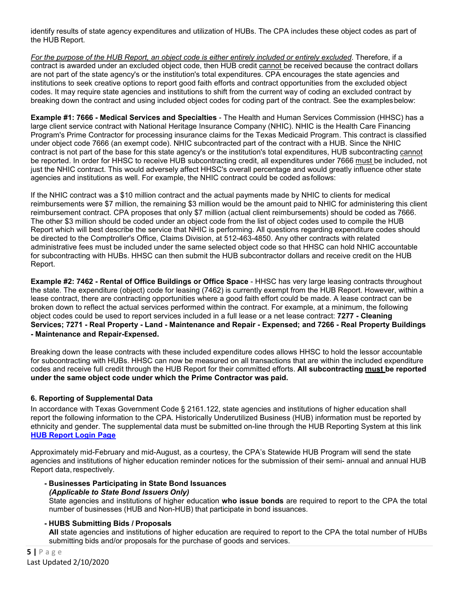identify results of state agency expenditures and utilization of HUBs. The CPA includes these object codes as part of the HUB Report.

*For the purpose of the HUB Report, an object code is either entirely included or entirely excluded*. Therefore, if a contract is awarded under an excluded object code, then HUB credit cannot be received because the contract dollars are not part of the state agency's or the institution's total expenditures. CPA encourages the state agencies and institutions to seek creative options to report good faith efforts and contract opportunities from the excluded object codes. It may require state agencies and institutions to shift from the current way of coding an excluded contract by breaking down the contract and using included object codes for coding part of the contract. See the examplesbelow:

**Example #1: 7666 - Medical Services and Specialties** - The Health and Human Services Commission (HHSC) has a large client service contract with National Heritage Insurance Company (NHIC). NHIC is the Health Care Financing Program's Prime Contractor for processing insurance claims for the Texas Medicaid Program. This contract is classified under object code 7666 (an exempt code). NHIC subcontracted part of the contract with a HUB. Since the NHIC contract is not part of the base for this state agency's or the institution's total expenditures, HUB subcontracting cannot be reported. In order for HHSC to receive HUB subcontracting credit, all expenditures under 7666 must be included, not just the NHIC contract. This would adversely affect HHSC's overall percentage and would greatly influence other state agencies and institutions as well. For example, the NHIC contract could be coded asfollows:

If the NHIC contract was a \$10 million contract and the actual payments made by NHIC to clients for medical reimbursements were \$7 million, the remaining \$3 million would be the amount paid to NHIC for administering this client reimbursement contract. CPA proposes that only \$7 million (actual client reimbursements) should be coded as 7666. The other \$3 million should be coded under an object code from the list of object codes used to compile the HUB Report which will best describe the service that NHIC is performing. All questions regarding expenditure codes should be directed to the Comptroller's Office, Claims Division, at 512-463-4850. Any other contracts with related administrative fees must be included under the same selected object code so that HHSC can hold NHIC accountable for subcontracting with HUBs. HHSC can then submit the HUB subcontractor dollars and receive credit on the HUB Report.

**Example #2: 7462 - Rental of Office Buildings or Office Space** - HHSC has very large leasing contracts throughout the state. The expenditure (object) code for leasing (7462) is currently exempt from the HUB Report. However, within a lease contract, there are contracting opportunities where a good faith effort could be made. A lease contract can be broken down to reflect the actual services performed within the contract. For example, at a minimum, the following object codes could be used to report services included in a full lease or a net lease contract: **7277 - Cleaning Services; 7271 - Real Property - Land - Maintenance and Repair - Expensed; and 7266 - Real Property Buildings - Maintenance and Repair-Expensed.**

Breaking down the lease contracts with these included expenditure codes allows HHSC to hold the lessor accountable for subcontracting with HUBs. HHSC can now be measured on all transactions that are within the included expenditure codes and receive full credit through the HUB Report for their committed efforts. **All subcontracting must be reported under the same object code under which the Prime Contractor was paid.**

## <span id="page-4-0"></span>**6. Reporting of Supplemental Data**

In accordance with Texas Government Code § 2161.122, state agencies and institutions of higher education shall report the following information to the CPA. Historically Underutilized Business (HUB) information must be reported by ethnicity and gender. The supplemental data must be submitted on-line through the HUB Reporting System at this link **[HUB Report Login Page](https://checkout.na1.netsuite.com/c.852252/checkout/login.ssp?n=2&login=T%23login-register)**

Approximately mid-February and mid-August, as a courtesy, the CPA's Statewide HUB Program will send the state agencies and institutions of higher education reminder notices for the submission of their semi- annual and annual HUB Report data, respectively.

**- Businesses Participating in State Bond Issuances** *(Applicable to State Bond Issuers Only)*

State agencies and institutions of higher education **who issue bonds** are required to report to the CPA the total number of businesses (HUB and Non-HUB) that participate in bond issuances.

#### **- HUBS Submitting Bids / Proposals**

**All** state agencies and institutions of higher education are required to report to the CPA the total number of HUBs submitting bids and/or proposals for the purchase of goods and services.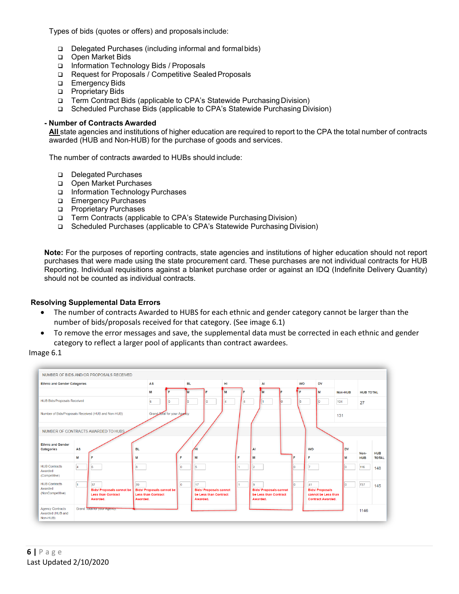<span id="page-5-0"></span>Types of bids (quotes or offers) and proposals include:

- Delegated Purchases (including informal and formalbids)
- □ Open Market Bids
- Information Technology Bids / Proposals
- □ Request for Proposals / Competitive Sealed Proposals
- **Emergency Bids**
- **D** Proprietary Bids
- Term Contract Bids (applicable to CPA's Statewide Purchasing Division)
- Scheduled Purchase Bids (applicable to CPA's Statewide Purchasing Division)

#### **- Number of Contracts Awarded**

**All** state agencies and institutions of higher education are required to report to the CPA the total number of contracts awarded (HUB and Non-HUB) for the purchase of goods and services.

The number of contracts awarded to HUBs should include:

- Delegated Purchases
- Open Market Purchases
- Information Technology Purchases
- **Emergency Purchases**
- **D** Proprietary Purchases
- □ Term Contracts (applicable to CPA's Statewide Purchasing Division)
- Scheduled Purchases (applicable to CPA's Statewide Purchasing Division)

**Note:** For the purposes of reporting contracts, state agencies and institutions of higher education should not report purchases that were made using the state procurement card. These purchases are not individual contracts for HUB Reporting. Individual requisitions against a blanket purchase order or against an IDQ (Indefinite Delivery Quantity) should not be counted as individual contracts.

#### **Resolving Supplemental Data Errors**

- The number of contracts Awarded to HUBS for each ethnic and gender category cannot be larger than the number of bids/proposals received for that category. (See image 6.1)
- To remove the error messages and save, the supplemental data must be corrected in each ethnic and gender category to reflect a larger pool of applicants than contract awardees.

#### Image 6.1

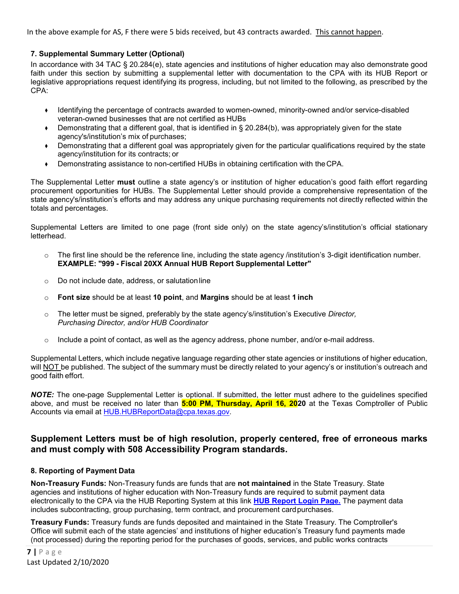In the above example for AS, F there were 5 bids received, but 43 contracts awarded. This cannot happen.

## **7. Supplemental Summary Letter (Optional)**

In accordance with 34 TAC § 20.284(e), state agencies and institutions of higher education may also demonstrate good faith under this section by submitting a supplemental letter with documentation to the CPA with its HUB Report or legislative appropriations request identifying its progress, including, but not limited to the following, as prescribed by the CPA:

- ♦ Identifying the percentage of contracts awarded to women-owned, minority-owned and/or service-disabled veteran-owned businesses that are not certified as HUBs
- ♦ Demonstrating that a different goal, that is identified in § 20.284(b), was appropriately given for the state agency's/institution's mix of purchases;
- ♦ Demonstrating that a different goal was appropriately given for the particular qualifications required by the state agency/institution for its contracts; or
- ♦ Demonstrating assistance to non-certified HUBs in obtaining certification with theCPA.

The Supplemental Letter **must** outline a state agency's or institution of higher education's good faith effort regarding procurement opportunities for HUBs. The Supplemental Letter should provide a comprehensive representation of the state agency's/institution's efforts and may address any unique purchasing requirements not directly reflected within the totals and percentages.

Supplemental Letters are limited to one page (front side only) on the state agency's/institution's official stationary letterhead.

- $\circ$  The first line should be the reference line, including the state agency /institution's 3-digit identification number. **EXAMPLE: "999 - Fiscal 20XX Annual HUB Report Supplemental Letter"**
- o Do not include date, address, or salutationline
- o **Font size** should be at least **10 point**, and **Margins** should be at least **1 inch**
- o The letter must be signed, preferably by the state agency's/institution's Executive *Director, Purchasing Director, and/or HUB Coordinator*
- $\circ$  Include a point of contact, as well as the agency address, phone number, and/or e-mail address.

Supplemental Letters, which include negative language regarding other state agencies or institutions of higher education, will NOT be published. The subject of the summary must be directly related to your agency's or institution's outreach and good faith effort.

*NOTE:* The one-page Supplemental Letter is optional. If submitted, the letter must adhere to the guidelines specified above, and must be received no later than **5:00 PM, Thursday, April 16, 2020** at the Texas Comptroller of Public Accounts via email at [HUB.HUBReportData@cpa.texas.gov.](mailto:HUB.HUBReportData@cpa.texas.gov)

## **Supplement Letters must be of high resolution, properly centered, free of erroneous marks and must comply with 508 Accessibility Program standards.**

#### <span id="page-6-0"></span>**8. Reporting of Payment Data**

**Non-Treasury Funds:** Non-Treasury funds are funds that are **not maintained** in the State Treasury. State agencies and institutions of higher education with Non-Treasury funds are required to submit payment data electronically to the CPA via the HUB Reporting System at this link **[HUB Report Login Page.](https://checkout.na1.netsuite.com/c.852252/checkout/login.ssp?n=2&login=T%23login-register)** The payment data includes subcontracting, group purchasing, term contract, and procurement cardpurchases.

**Treasury Funds:** Treasury funds are funds deposited and maintained in the State Treasury. The Comptroller's Office will submit each of the state agencies' and institutions of higher education's Treasury fund payments made (not processed) during the reporting period for the purchases of goods, services, and public works contracts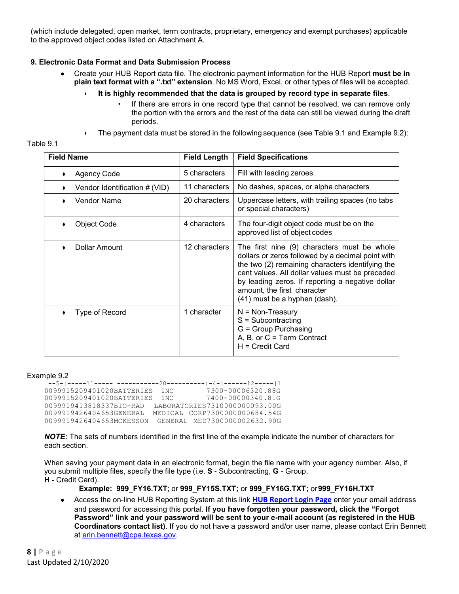(which include delegated, open market, term contracts, proprietary, emergency and exempt purchases) applicable to the approved object codes listed on Attachment A.

## <span id="page-7-0"></span>**9. Electronic Data Format and Data Submission Process**

- Create your HUB Report data file. The electronic payment information for the HUB Report **must be in plain text format with a ".txt" extension**. No MS Word, Excel, or other types of files will be accepted.
	- **It is highly recommended that the data is grouped by record type in separate files**.
		- If there are errors in one record type that cannot be resolved, we can remove only the portion with the errors and the rest of the data can still be viewed during the draft periods.
	- The payment data must be stored in the following sequence (see Table 9.1 and Example 9.2):

| Table 9. |  |  |
|----------|--|--|
|          |  |  |
|          |  |  |

| <b>Field Name</b>             | <b>Field Length</b> | <b>Field Specifications</b>                                                                                                                                                                                                                                                                                                 |
|-------------------------------|---------------------|-----------------------------------------------------------------------------------------------------------------------------------------------------------------------------------------------------------------------------------------------------------------------------------------------------------------------------|
| <b>Agency Code</b>            | 5 characters        | Fill with leading zeroes                                                                                                                                                                                                                                                                                                    |
| Vendor Identification # (VID) | 11 characters       | No dashes, spaces, or alpha characters                                                                                                                                                                                                                                                                                      |
| Vendor Name                   | 20 characters       | Uppercase letters, with trailing spaces (no tabs<br>or special characters)                                                                                                                                                                                                                                                  |
| Object Code                   | 4 characters        | The four-digit object code must be on the<br>approved list of object codes                                                                                                                                                                                                                                                  |
| Dollar Amount                 | 12 characters       | The first nine (9) characters must be whole<br>dollars or zeros followed by a decimal point with<br>the two (2) remaining characters identifying the<br>cent values. All dollar values must be preceded<br>by leading zeros. If reporting a negative dollar<br>amount, the first character<br>(41) must be a hyphen (dash). |
| Type of Record                | 1 character         | $N = Non-Treasury$<br>$S = Subcontracting$<br>G = Group Purchasing<br>A, B, or $C = Term$ Contract<br>$H = C$ redit Card                                                                                                                                                                                                    |

#### Example 9.2

```
|--5-|-----11-----|-----------20----------|-4-|------12-----|1|
0099915209401020BATTERIES INC 7300-00006320.88G
0099915209401020BATTERIES INC 7400-00000340.81G
0099919413818337BIO-RAD LABORATORIES7310000000093.00G
0099919426404653GENERAL MEDICAL CORP7300000000684.54G
0099919426404653MCKESSON GENERAL MED7300000002632.90G
```
*NOTE:* The sets of numbers identified in the first line of the example indicate the number of characters for each section.

When saving your payment data in an electronic format, begin the file name with your agency number. Also, if you submit multiple files, specify the file type (i.e. **S** - Subcontracting, **G** - Group, **H** - Credit Card).

**Example: 999\_FY16.TXT**; or **999\_FY15S.TXT;** or **999\_FY16G.TXT;** or**999\_FY16H.TXT**

• Access the on-line HUB Reporting System at this link **[HUB Report Login Page](https://checkout.na1.netsuite.com/c.852252/checkout/login.ssp?n=2&login=T%23login-register)** enter your email address and password for accessing this portal. **If you have forgotten your password, click the "Forgot Password" link and your password will be sent to your e-mail account (as registered in the HUB Coordinators contact list)**. If you do not have a password and/or user name, please contact Erin Bennett at [erin.bennett@cpa.texas.gov.](mailto:erin.bennett@cpa.texas.gov)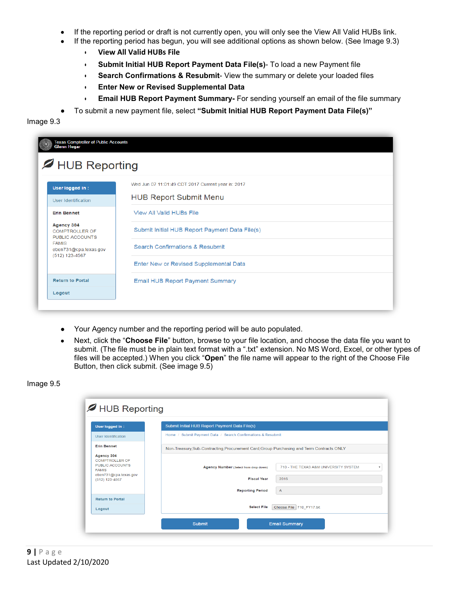- If the reporting period or draft is not currently open, you will only see the View All Valid HUBs link.
- If the reporting period has begun, you will see additional options as shown below. (See Image 9.3)
	- **View All Valid HUBs File**
	- **Submit Initial HUB Report Payment Data File(s)** To load a new Payment file
	- **Search Confirmations & Resubmit** View the summary or delete your loaded files
	- **Enter New or Revised Supplemental Data**
	- **Email HUB Report Payment Summary-** For sending yourself an email of the file summary
- To submit a new payment file, select **"Submit Initial HUB Report Payment Data File(s)"**

Image 9.3

| Wed Jun 07 11:01:49 CDT 2017 Current year is: 2017                                         |  |
|--------------------------------------------------------------------------------------------|--|
| <b>HUB Report Submit Menu</b>                                                              |  |
| <b>View All Valid HUBs File</b>                                                            |  |
| Submit Initial HUB Report Payment Data File(s)<br><b>COMPTROLLER OF</b><br>PUBLIC ACCOUNTS |  |
| <b>Search Confirmations &amp; Resubmit</b><br>eben731@cpa.texas.gov                        |  |
| Enter New or Revised Supplemental Data                                                     |  |
| <b>Email HUB Report Payment Summary</b>                                                    |  |
|                                                                                            |  |

- Your Agency number and the reporting period will be auto populated.
- Next, click the "**Choose File**" button, browse to your file location, and choose the data file you want to submit. (The file must be in plain text format with a ".txt" extension. No MS Word, Excel, or other types of files will be accepted.) When you click "**Open**" the file name will appear to the right of the Choose File Button, then click submit. (See image 9.5)

#### Image 9.5

| User logged in :                                                                                                    | Submit Initial HUB Report Payment Data File(s)                                                                                                                   |
|---------------------------------------------------------------------------------------------------------------------|------------------------------------------------------------------------------------------------------------------------------------------------------------------|
| User Identification                                                                                                 | Home / Submit Payment Data / Search Confirmations & Resubmit                                                                                                     |
| <b>Erin Bennet</b>                                                                                                  | Non-Treasury, Sub-Contracting, Procurement Card, Group Purchasing and Term Contracts ONLY                                                                        |
| Agency 304<br><b>COMPTROLLER OF</b><br>PUBLIC ACCOUNTS<br><b>FAMIS</b><br>eben731@cpa.texas.gov<br>$(512)$ 123-4567 | 710 - THE TEXAS A&M UNIVERSITY SYSTEM<br><b>Agency Number (Select from drop down)</b><br><b>Fiscal Year</b><br>2016<br><b>Reporting Period</b><br>$\overline{A}$ |
| <b>Return to Portal</b>                                                                                             |                                                                                                                                                                  |
| Logout                                                                                                              | <b>Select File</b><br>Choose File 710 FY17.txt                                                                                                                   |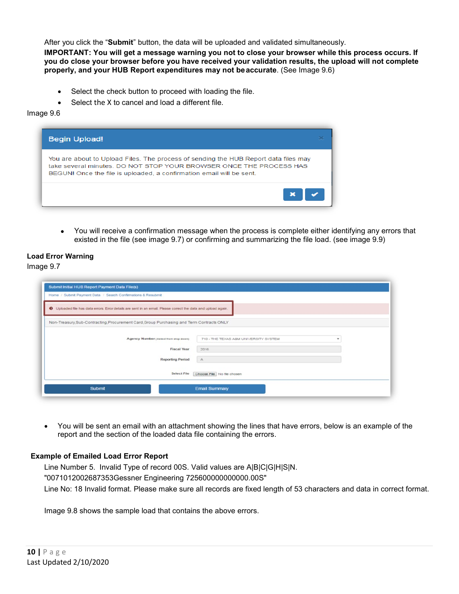After you click the "**Submit**" button, the data will be uploaded and validated simultaneously.

**IMPORTANT: You will get a message warning you not to close your browser while this process occurs. If you do close your browser before you have received your validation results, the upload will not complete properly, and your HUB Report expenditures may not beaccurate**. (See Image 9.6)

- Select the check button to proceed with loading the file.
- Select the X to cancel and load a different file.

#### Image 9.6

| <b>Begin Upload!</b>                                                                                                                                                                                                               |  |
|------------------------------------------------------------------------------------------------------------------------------------------------------------------------------------------------------------------------------------|--|
| You are about to Upload Files. The process of sending the HUB Report data files may<br>take several minutes. DO NOT STOP YOUR BROWSER ONCE THE PROCESS HAS<br>BEGUN! Once the file is uploaded, a confirmation email will be sent. |  |
|                                                                                                                                                                                                                                    |  |

• You will receive a confirmation message when the process is complete either identifying any errors that existed in the file (see image 9.7) or confirming and summarizing the file load. (see image 9.9)

#### **Load Error Warning**

Image 9.7

| Submit Initial HUB Report Payment Data File(s)                                                                 |                                            |
|----------------------------------------------------------------------------------------------------------------|--------------------------------------------|
| Home / Submit Payment Data / Search Confirmations & Resubmit                                                   |                                            |
| O Uploaded file has data errors. Error details are sent in an email. Please correct the data and upload again. |                                            |
| Non-Treasury,Sub-Contracting,Procurement Card,Group Purchasing and Term Contracts ONLY                         |                                            |
| Agency Number (select from drop down)                                                                          | 710 - THE TEXAS A&M UNIVERSITY SYSTEM<br>٠ |
| <b>Fiscal Year</b>                                                                                             | 2016                                       |
| <b>Reporting Period</b>                                                                                        | A                                          |
| <b>Select File</b>                                                                                             | Choose File   No file chosen               |
| <b>Submit</b>                                                                                                  | <b>Email Summary</b>                       |

• You will be sent an email with an attachment showing the lines that have errors, below is an example of the report and the section of the loaded data file containing the errors.

#### **Example of Emailed Load Error Report**

Line Number 5. Invalid Type of record 00S. Valid values are A|B|C|G|H|S|N. "0071012002687353Gessner Engineering 725600000000000.00S" Line No: 18 Invalid format. Please make sure all records are fixed length of 53 characters and data in correct format.

Image 9.8 shows the sample load that contains the above errors.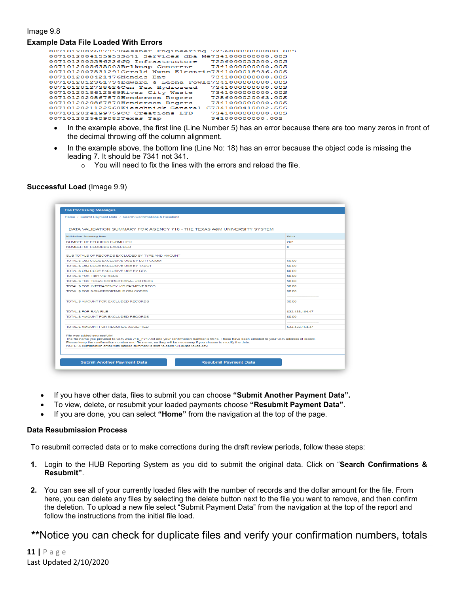#### Image 9.8

#### **Example Data File Loaded With Errors**

| 0071012002687353Gessner Engineering 725600000000000.00S |                    |
|---------------------------------------------------------|--------------------|
| 0071012004155953Soji Services dba Me7341000000000.00S   |                    |
| 0071012005396226JQ Infrastructure                       | 7256000033500.00S  |
| 0071012005635003Belknap Concrete                        | 7341000000000.00S  |
| 0071012007531291Gerald Nunn Electric7341000018936.00S   |                    |
| 0071012008421476Mendes Ent                              | 7341000000000.005  |
| 0071012012361734Edward & Leona Fowle7341000000000.00S   |                    |
| 0071012012738626Cen Tex Hydroseed                       | 7341000000000.00S  |
| 0071012018612569River City Waste                        | 7341000000000.005  |
| 0071012020867870Henderson Rogers                        | 7256000020063.00S  |
| 0071012020867870Henderson Rogers                        | 7341000000000.00S  |
| 0071012021122960Kieschnick General                      | C7341000410882.55S |
| 0071012024199759CC Creations LTD                        | 7341000000000.00S  |
| 0071012025409082Texas Tap                               | 341000000000.005   |
|                                                         |                    |

- In the example above, the first line (Line Number 5) has an error because there are too many zeros in front of the decimal throwing off the column alignment.
- In the example above, the bottom line (Line No: 18) has an error because the object code is missing the leading 7. It should be 7341 not 341.
	- $\circ$  You will need to fix the lines with the errors and reload the file.

#### **Successful Load** (Image 9.9)

| Home / Submit Payment Data / Search Confirmations & Resubmit                                                                                                                                                                                                                                                                                                                          |                 |
|---------------------------------------------------------------------------------------------------------------------------------------------------------------------------------------------------------------------------------------------------------------------------------------------------------------------------------------------------------------------------------------|-----------------|
| DATA VALIDATION SUMMARY FOR AGENCY 710 - THE TEXAS A&M UNIVERSITY SYSTEM                                                                                                                                                                                                                                                                                                              |                 |
| Validation Summary Item                                                                                                                                                                                                                                                                                                                                                               | Value           |
| NUMBER OF RECORDS SUBMITTED                                                                                                                                                                                                                                                                                                                                                           | 292             |
| NUMBER OF RECORDS EXCLUDED                                                                                                                                                                                                                                                                                                                                                            | $\bullet$       |
| SUB TOTALS OF RECORDS EXCLUDED BY TYPE AND AMOUNT                                                                                                                                                                                                                                                                                                                                     |                 |
| TOTAL S OBJ CODE EXCLUSIVE USE BY LOTT COMM                                                                                                                                                                                                                                                                                                                                           | <b>SO.00</b>    |
| TOTAL S OBJ CODE EXCLUSIVE USE BY TXDOT                                                                                                                                                                                                                                                                                                                                               | <b>SO.00</b>    |
| TOTAL S OBJ CODE EXCLUSIVE USE BY CPA                                                                                                                                                                                                                                                                                                                                                 | <b>SO.00</b>    |
| TOTAL S FOR TIBH VID RECS                                                                                                                                                                                                                                                                                                                                                             | S0.00           |
| TOTAL S FOR TEXAS CORRECTIONAL VID RECS                                                                                                                                                                                                                                                                                                                                               | S0.00           |
| TOTAL S FOR INTERAGENCY VID PAYMENT RECS.                                                                                                                                                                                                                                                                                                                                             | SQ 00           |
| TOTAL S FOR NON-REPORTABLE OBJ CODES.                                                                                                                                                                                                                                                                                                                                                 | SQ 00           |
|                                                                                                                                                                                                                                                                                                                                                                                       |                 |
| TOTAL S AMOUNT FOR EXCLUDED RECORDS.                                                                                                                                                                                                                                                                                                                                                  | SQ 00           |
| TOTAL S FOR RAW FILE                                                                                                                                                                                                                                                                                                                                                                  | \$32,433,164.47 |
| TOTAL S AMOUNT FOR EXCLUDED RECORDS                                                                                                                                                                                                                                                                                                                                                   | <b>SO.00</b>    |
| TOTAL S AMOUNT FOR RECORDS ACCEPTED                                                                                                                                                                                                                                                                                                                                                   | \$32.433.164.47 |
| File was added successfully!<br>The file name you provided to CPA was 710_FY17.txt and your confirmation number is 6675. These have been emailed to your CPA address of record.<br>Please keep the confirmation number and file name, as they will be necessary if you choose to modify the data.<br>NOTE: A confirmation email with upload summary is sent to eben731@cpa.texas.gov. |                 |

- If you have other data, files to submit you can choose **"Submit Another Payment Data".**
- To view, delete, or resubmit your loaded payments choose **"Resubmit Payment Data"**.
- If you are done, you can select **"Home"** from the navigation at the top of the page.

#### **Data Resubmission Process**

To resubmit corrected data or to make corrections during the draft review periods, follow these steps:

- **1.** Login to the HUB Reporting System as you did to submit the original data. Click on "**Search Confirmations & Resubmit"**.
- **2.** You can see all of your currently loaded files with the number of records and the dollar amount for the file. From here, you can delete any files by selecting the delete button next to the file you want to remove, and then confirm the deletion. To upload a new file select "Submit Payment Data" from the navigation at the top of the report and follow the instructions from the initial file load.

## **\*\***Notice you can check for duplicate files and verify your confirmation numbers, totals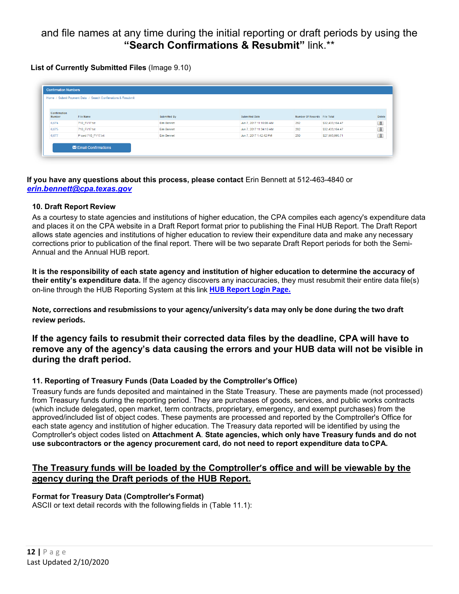# and file names at any time during the initial reporting or draft periods by using the **"Search Confirmations & Resubmit"** link.\*\*

**List of Currently Submitted Files** (Image 9.10)

| Home / Submit Payment Data / Search Confirmations & Resubmit |                    |                     |                         |                              |                 |        |  |
|--------------------------------------------------------------|--------------------|---------------------|-------------------------|------------------------------|-----------------|--------|--|
| Confirmation<br><b>Number</b>                                | File Name          | <b>Submitted By</b> | <b>Submitted Date</b>   | Number Of Records File Total |                 | Delete |  |
| 6,674                                                        | 710_FY17.bt        | Erin Bennet         | Jun 7, 2017 11:16:08 AM | 292                          | \$32,433,164.47 | 童      |  |
| 6,675                                                        | 710 FY17.bt        | Erin Bennet         | Jun 7, 2017 11:34:10 AM | 292                          | \$32,433,164.47 | ô      |  |
| 6,677                                                        | P card 710 FY17.bt | Erin Bennet         | Jun 7, 2017 1:42:42 PM  | 250                          | \$27,993,995.71 | 一章     |  |

**If you have any questions about this process, please contact** Erin Bennett at 512-463-4840 or *[erin.bennett@cpa.texas.gov](mailto:erin.bennett@cpa.texas.gov)*

## <span id="page-11-0"></span>**10. Draft Report Review**

As a courtesy to state agencies and institutions of higher education, the CPA compiles each agency's expenditure data and places it on the CPA website in a Draft Report format prior to publishing the Final HUB Report. The Draft Report allows state agencies and institutions of higher education to review their expenditure data and make any necessary corrections prior to publication of the final report. There will be two separate Draft Report periods for both the Semi-Annual and the Annual HUB report.

**It is the responsibility of each state agency and institution of higher education to determine the accuracy of their entity's expenditure data.** If the agency discovers any inaccuracies, they must resubmit their entire data file(s) on-line through the HUB Reporting System at this link **[HUB Report Login Page.](https://checkout.na1.netsuite.com/c.852252/checkout/login.ssp?n=2&login=T%23login-register)**

**Note, corrections and resubmissions to your agency/university's data may only be done during the two draft review periods.** 

## **If the agency fails to resubmit their corrected data files by the deadline, CPA will have to remove any of the agency's data causing the errors and your HUB data will not be visible in during the draft period.**

## **11. Reporting of Treasury Funds (Data Loaded by the Comptroller's Office)**

Treasury funds are funds deposited and maintained in the State Treasury. These are payments made (not processed) from Treasury funds during the reporting period. They are purchases of goods, services, and public works contracts (which include delegated, open market, term contracts, proprietary, emergency, and exempt purchases) from the approved/included list of object codes. These payments are processed and reported by the Comptroller's Office for each state agency and institution of higher education. The Treasury data reported will be identified by using the Comptroller's object codes listed on **Attachment A**. **State agencies, which only have Treasury funds and do not use subcontractors or the agency procurement card, do not need to report expenditure data toCPA.**

## **The Treasury funds will be loaded by the Comptroller's office and will be viewable by the agency during the Draft periods of the HUB Report.**

## **Format for Treasury Data (Comptroller's Format)**

ASCII or text detail records with the following fields in (Table 11.1):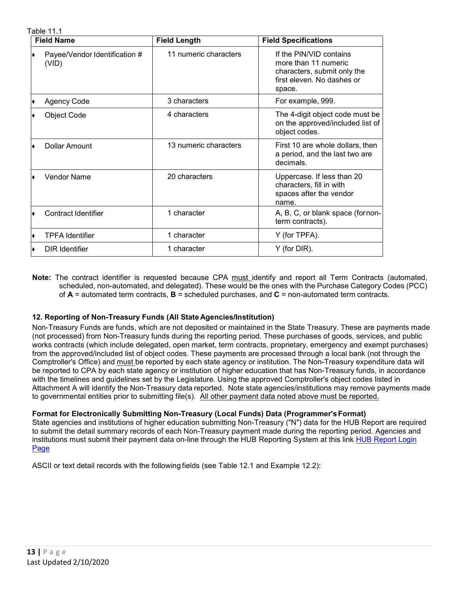Table 11.1

| $uv$ $v_{1}$ $u_{2}$<br><b>Field Name</b> | <b>Field Length</b>   | <b>Field Specifications</b>                                                                                            |
|-------------------------------------------|-----------------------|------------------------------------------------------------------------------------------------------------------------|
| Payee/Vendor Identification #<br>(VID)    | 11 numeric characters | If the PIN/VID contains<br>more than 11 numeric<br>characters, submit only the<br>first eleven. No dashes or<br>space. |
| <b>Agency Code</b>                        | 3 characters          | For example, 999.                                                                                                      |
| <b>Object Code</b>                        | 4 characters          | The 4-digit object code must be<br>on the approved/included list of<br>object codes.                                   |
| Dollar Amount                             | 13 numeric characters | First 10 are whole dollars, then<br>a period, and the last two are<br>decimals.                                        |
| <b>Vendor Name</b>                        | 20 characters         | Uppercase. If less than 20<br>characters, fill in with<br>spaces after the vendor<br>name.                             |
| Contract Identifier                       | 1 character           | A, B, C, or blank space (fornon-<br>term contracts).                                                                   |
| <b>TPFA Identifier</b>                    | 1 character           | Y (for TPFA).                                                                                                          |
| <b>DIR</b> Identifier                     | 1 character           | Y (for DIR).                                                                                                           |

**Note:** The contract identifier is requested because CPA must identify and report all Term Contracts (automated, scheduled, non-automated, and delegated). These would be the ones with the Purchase Category Codes (PCC) of **A** = automated term contracts, **B** = scheduled purchases, and **C** = non-automated term contracts.

#### **12. Reporting of Non-Treasury Funds (All State Agencies/Institution)**

Non-Treasury Funds are funds, which are not deposited or maintained in the State Treasury. These are payments made (not processed) from Non-Treasury funds during the reporting period. These purchases of goods, services, and public works contracts (which include delegated, open market, term contracts, proprietary, emergency and exempt purchases) from the approved/included list of object codes. These payments are processed through a local bank (not through the Comptroller's Office) and must be reported by each state agency or institution. The Non-Treasury expenditure data will be reported to CPA by each state agency or institution of higher education that has Non-Treasury funds, in accordance with the timelines and guidelines set by the Legislature. Using the approved Comptroller's object codes listed in Attachment A will identify the Non-Treasury data reported. Note state agencies/institutions may remove payments made to governmental entities prior to submitting file(s).All other payment data noted above must be reported.

#### **Format for Electronically Submitting Non-Treasury (Local Funds) Data (Programmer'sFormat)**

State agencies and institutions of higher education submitting Non-Treasury ("N") data for the HUB Report are required to submit the detail summary records of each Non-Treasury payment made during the reporting period. Agencies and institutions must submit their payment data on-line through the HUB Reporting System at this link [HUB Report Login](https://checkout.na1.netsuite.com/c.852252/checkout/login.ssp?n=2&login=T%23login-register)  [Page](https://checkout.na1.netsuite.com/c.852252/checkout/login.ssp?n=2&login=T%23login-register)

ASCII or text detail records with the following fields (see Table 12.1 and Example 12.2):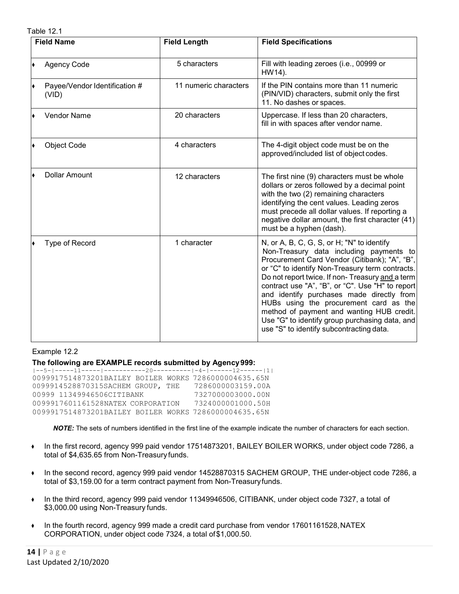Table 12.1

| <b>Field Name</b>                      | <b>Field Length</b>   | <b>Field Specifications</b>                                                                                                                                                                                                                                                                                                                                                                                                                                                                                                        |
|----------------------------------------|-----------------------|------------------------------------------------------------------------------------------------------------------------------------------------------------------------------------------------------------------------------------------------------------------------------------------------------------------------------------------------------------------------------------------------------------------------------------------------------------------------------------------------------------------------------------|
| <b>Agency Code</b>                     | 5 characters          | Fill with leading zeroes (i.e., 00999 or<br>HW14).                                                                                                                                                                                                                                                                                                                                                                                                                                                                                 |
| Payee/Vendor Identification #<br>(VID) | 11 numeric characters | If the PIN contains more than 11 numeric<br>(PIN/VID) characters, submit only the first<br>11. No dashes or spaces.                                                                                                                                                                                                                                                                                                                                                                                                                |
| <b>Vendor Name</b>                     | 20 characters         | Uppercase. If less than 20 characters,<br>fill in with spaces after vendor name.                                                                                                                                                                                                                                                                                                                                                                                                                                                   |
| <b>Object Code</b>                     | 4 characters          | The 4-digit object code must be on the<br>approved/included list of object codes.                                                                                                                                                                                                                                                                                                                                                                                                                                                  |
| <b>Dollar Amount</b>                   | 12 characters         | The first nine (9) characters must be whole<br>dollars or zeros followed by a decimal point<br>with the two (2) remaining characters<br>identifying the cent values. Leading zeros<br>must precede all dollar values. If reporting a<br>negative dollar amount, the first character (41)<br>must be a hyphen (dash).                                                                                                                                                                                                               |
| Type of Record                         | 1 character           | N, or A, B, C, G, S, or H; "N" to identify<br>Non-Treasury data including payments to<br>Procurement Card Vendor (Citibank); "A", "B",<br>or "C" to identify Non-Treasury term contracts.<br>Do not report twice. If non-Treasury and a term<br>contract use "A", "B", or "C". Use "H" to report<br>and identify purchases made directly from<br>HUBs using the procurement card as the<br>method of payment and wanting HUB credit.<br>Use "G" to identify group purchasing data, and<br>use "S" to identify subcontracting data. |

#### Example 12.2

**The following are EXAMPLE records submitted by Agency999:**

```
|--5-|-----11-----|-----------20----------|-4-|------12------|1|
0099917514873201BAILEY BOILER WORKS 7286000004635.65N
0099914528870315SACHEM GROUP, THE 7286000003159.00A<br>00999 11349946506CITIBANK 7327000003000.00N
00999 11349946506CITIBANK 7327000003000.00N<br>0099917601161528NATEX CORPORATION 7324000001000.50H
0099917601161528NATEX CORPORATION
0099917514873201BAILEY BOILER WORKS 7286000004635.65N
```
*NOTE:* The sets of numbers identified in the first line of the example indicate the number of characters for each section.

- ♦ In the first record, agency 999 paid vendor 17514873201, BAILEY BOILER WORKS, under object code 7286, a total of \$4,635.65 from Non-Treasury funds.
- ♦ In the second record, agency 999 paid vendor 14528870315 SACHEM GROUP, THE under-object code 7286, a total of \$3,159.00 for a term contract payment from Non-Treasuryfunds.
- ♦ In the third record, agency 999 paid vendor 11349946506, CITIBANK, under object code 7327, a total of \$3,000.00 using Non-Treasury funds.
- $\bullet$  In the fourth record, agency 999 made a credit card purchase from vendor 17601161528, NATEX CORPORATION, under object code 7324, a total of\$1,000.50.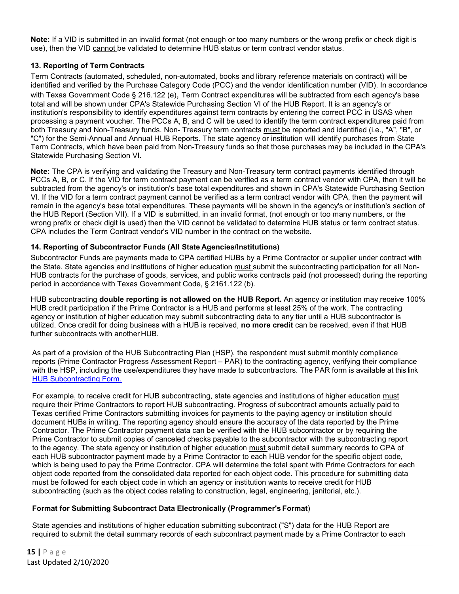**Note:** If a VID is submitted in an invalid format (not enough or too many numbers or the wrong prefix or check digit is use), then the VID cannot be validated to determine HUB status or term contract vendor status.

## <span id="page-14-0"></span>**13. Reporting of Term Contracts**

Term Contracts (automated, scheduled, non-automated, books and library reference materials on contract) will be identified and verified by the Purchase Category Code (PCC) and the vendor identification number (VID). In accordance with Texas Government Code § 216.122 (e), Term Contract expenditures will be subtracted from each agency's base total and will be shown under CPA's Statewide Purchasing Section VI of the HUB Report. It is an agency's or institution's responsibility to identify expenditures against term contracts by entering the correct PCC in USAS when processing a payment voucher. The PCCs A, B, and C will be used to identify the term contract expenditures paid from both Treasury and Non-Treasury funds. Non- Treasury term contracts must be reported and identified (i.e., "A", "B", or "C") for the Semi-Annual and Annual HUB Reports. The state agency or institution will identify purchases from State Term Contracts, which have been paid from Non-Treasury funds so that those purchases may be included in the CPA's Statewide Purchasing Section VI.

**Note:** The CPA is verifying and validating the Treasury and Non-Treasury term contract payments identified through PCCs A, B, or C. If the VID for term contract payment can be verified as a term contract vendor with CPA, then it will be subtracted from the agency's or institution's base total expenditures and shown in CPA's Statewide Purchasing Section VI. If the VID for a term contract payment cannot be verified as a term contract vendor with CPA, then the payment will remain in the agency's base total expenditures. These payments will be shown in the agency's or institution's section of the HUB Report (Section VII). If a VID is submitted, in an invalid format, (not enough or too many numbers, or the wrong prefix or check digit is used) then the VID cannot be validated to determine HUB status or term contract status. CPA includes the Term Contract vendor's VID number in the contract on the website.

## **14. Reporting of Subcontractor Funds (All State Agencies/Institutions)**

Subcontractor Funds are payments made to CPA certified HUBs by a Prime Contractor or supplier under contract with the State. State agencies and institutions of higher education must submit the subcontracting participation for all Non-HUB contracts for the purchase of goods, services, and public works contracts paid (not processed) during the reporting period in accordance with Texas Government Code, § 2161.122 (b).

HUB subcontracting **double reporting is not allowed on the HUB Report.** An agency or institution may receive 100% HUB credit participation if the Prime Contractor is a HUB and performs at least 25% of the work. The contracting agency or institution of higher education may submit subcontracting data to any tier until a HUB subcontractor is utilized. Once credit for doing business with a HUB is received, **no more credit** can be received, even if that HUB further subcontracts with another HUB.

As part of a provision of the HUB Subcontracting Plan (HSP), the respondent must submit monthly compliance reports (Prime Contractor Progress Assessment Report – PAR) to the contracting agency, verifying their compliance with the HSP, including the use/expenditures they have made to subcontractors. The PAR form is available at this link [HUB Subcontracting Form.](https://comptroller.texas.gov/purchasing/vendor/hub/forms.php)

For example, to receive credit for HUB subcontracting, state agencies and institutions of higher education must require their Prime Contractors to report HUB subcontracting. Progress of subcontract amounts actually paid to Texas certified Prime Contractors submitting invoices for payments to the paying agency or institution should document HUBs in writing. The reporting agency should ensure the accuracy of the data reported by the Prime Contractor. The Prime Contractor payment data can be verified with the HUB subcontractor or by requiring the Prime Contractor to submit copies of canceled checks payable to the subcontractor with the subcontracting report to the agency. The state agency or institution of higher education must submit detail summary records to CPA of each HUB subcontractor payment made by a Prime Contractor to each HUB vendor for the specific object code, which is being used to pay the Prime Contractor. CPA will determine the total spent with Prime Contractors for each object code reported from the consolidated data reported for each object code. This procedure for submitting data must be followed for each object code in which an agency or institution wants to receive credit for HUB subcontracting (such as the object codes relating to construction, legal, engineering, janitorial, etc.).

#### **Format for Submitting Subcontract Data Electronically (Programmer's Format**)

State agencies and institutions of higher education submitting subcontract ("S") data for the HUB Report are required to submit the detail summary records of each subcontract payment made by a Prime Contractor to each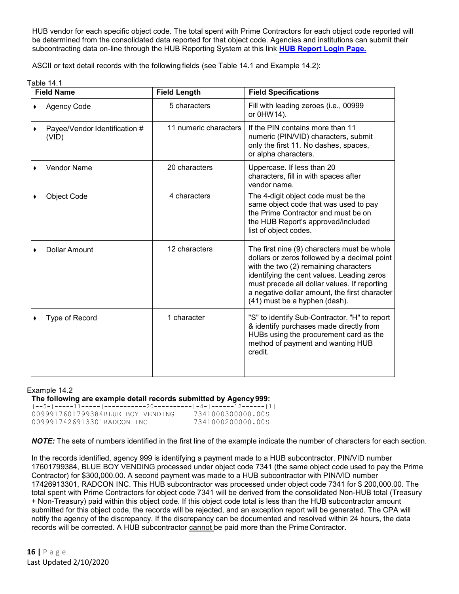<span id="page-15-0"></span>HUB vendor for each specific object code. The total spent with Prime Contractors for each object code reported will be determined from the consolidated data reported for that object code. Agencies and institutions can submit their subcontracting data on-line through the HUB Reporting System at this link **[HUB Report Login Page.](https://checkout.na1.netsuite.com/c.852252/checkout/login.ssp?n=2&login=T%23login-register)**

ASCII or text detail records with the following fields (see Table 14.1 and Example 14.2):

| Table | 41 |
|-------|----|
|-------|----|

| <b>Field Name</b>                      | <b>Field Length</b>   | <b>Field Specifications</b>                                                                                                                                                                                                                                                                                          |
|----------------------------------------|-----------------------|----------------------------------------------------------------------------------------------------------------------------------------------------------------------------------------------------------------------------------------------------------------------------------------------------------------------|
| <b>Agency Code</b>                     | 5 characters          | Fill with leading zeroes (i.e., 00999<br>or 0HW14).                                                                                                                                                                                                                                                                  |
| Payee/Vendor Identification #<br>(VID) | 11 numeric characters | If the PIN contains more than 11<br>numeric (PIN/VID) characters, submit<br>only the first 11. No dashes, spaces,<br>or alpha characters.                                                                                                                                                                            |
| <b>Vendor Name</b>                     | 20 characters         | Uppercase. If less than 20<br>characters, fill in with spaces after<br>vendor name.                                                                                                                                                                                                                                  |
| <b>Object Code</b>                     | 4 characters          | The 4-digit object code must be the<br>same object code that was used to pay<br>the Prime Contractor and must be on<br>the HUB Report's approved/included<br>list of object codes.                                                                                                                                   |
| <b>Dollar Amount</b>                   | 12 characters         | The first nine (9) characters must be whole<br>dollars or zeros followed by a decimal point<br>with the two (2) remaining characters<br>identifying the cent values. Leading zeros<br>must precede all dollar values. If reporting<br>a negative dollar amount, the first character<br>(41) must be a hyphen (dash). |
| Type of Record                         | 1 character           | "S" to identify Sub-Contractor. "H" to report<br>& identify purchases made directly from<br>HUBs using the procurement card as the<br>method of payment and wanting HUB<br>credit.                                                                                                                                   |

#### Example 14.2

**The following are example detail records submitted by Agency999:**

| 0099917601799384BLUE BOY VENDING |  | 7341000300000.00S |
|----------------------------------|--|-------------------|
| 0099917426913301RADCON INC       |  | 7341000200000.00S |

*NOTE:* The sets of numbers identified in the first line of the example indicate the number of characters for each section.

In the records identified, agency 999 is identifying a payment made to a HUB subcontractor. PIN/VID number 17601799384, BLUE BOY VENDING processed under object code 7341 (the same object code used to pay the Prime Contractor) for \$300,000.00. A second payment was made to a HUB subcontractor with PIN/VID number 17426913301, RADCON INC. This HUB subcontractor was processed under object code 7341 for \$ 200,000.00. The total spent with Prime Contractors for object code 7341 will be derived from the consolidated Non-HUB total (Treasury + Non-Treasury) paid within this object code. If this object code total is less than the HUB subcontractor amount submitted for this object code, the records will be rejected, and an exception report will be generated. The CPA will notify the agency of the discrepancy. If the discrepancy can be documented and resolved within 24 hours, the data records will be corrected. A HUB subcontractor cannot be paid more than the Prime Contractor.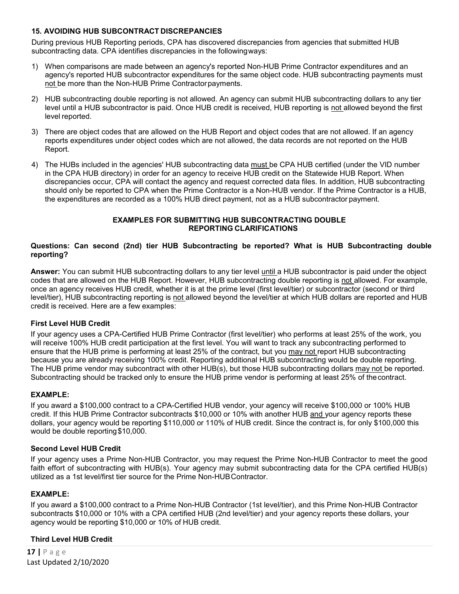#### **15. AVOIDING HUB SUBCONTRACT DISCREPANCIES**

During previous HUB Reporting periods, CPA has discovered discrepancies from agencies that submitted HUB subcontracting data. CPA identifies discrepancies in the followingways:

- 1) When comparisons are made between an agency's reported Non-HUB Prime Contractor expenditures and an agency's reported HUB subcontractor expenditures for the same object code. HUB subcontracting payments must not be more than the Non-HUB Prime Contractorpayments.
- 2) HUB subcontracting double reporting is not allowed. An agency can submit HUB subcontracting dollars to any tier level until a HUB subcontractor is paid. Once HUB credit is received, HUB reporting is not allowed beyond the first level reported.
- 3) There are object codes that are allowed on the HUB Report and object codes that are not allowed. If an agency reports expenditures under object codes which are not allowed, the data records are not reported on the HUB Report.
- 4) The HUBs included in the agencies' HUB subcontracting data must be CPA HUB certified (under the VID number in the CPA HUB directory) in order for an agency to receive HUB credit on the Statewide HUB Report. When discrepancies occur, CPA will contact the agency and request corrected data files. In addition, HUB subcontracting should only be reported to CPA when the Prime Contractor is a Non-HUB vendor. If the Prime Contractor is a HUB, the expenditures are recorded as a 100% HUB direct payment, not as a HUB subcontractor payment.

#### **EXAMPLES FOR SUBMITTING HUB SUBCONTRACTING DOUBLE REPORTING CLARIFICATIONS**

#### **Questions: Can second (2nd) tier HUB Subcontracting be reported? What is HUB Subcontracting double reporting?**

Answer: You can submit HUB subcontracting dollars to any tier level until a HUB subcontractor is paid under the object codes that are allowed on the HUB Report. However, HUB subcontracting double reporting is not allowed. For example, once an agency receives HUB credit, whether it is at the prime level (first level/tier) or subcontractor (second or third level/tier), HUB subcontracting reporting is not allowed beyond the level/tier at which HUB dollars are reported and HUB credit is received. Here are a few examples:

#### **First Level HUB Credit**

If your agency uses a CPA-Certified HUB Prime Contractor (first level/tier) who performs at least 25% of the work, you will receive 100% HUB credit participation at the first level. You will want to track any subcontracting performed to ensure that the HUB prime is performing at least 25% of the contract, but you may not report HUB subcontracting because you are already receiving 100% credit. Reporting additional HUB subcontracting would be double reporting. The HUB prime vendor may subcontract with other HUB(s), but those HUB subcontracting dollars may not be reported. Subcontracting should be tracked only to ensure the HUB prime vendor is performing at least 25% of thecontract.

#### **EXAMPLE:**

If you award a \$100,000 contract to a CPA-Certified HUB vendor, your agency will receive \$100,000 or 100% HUB credit. If this HUB Prime Contractor subcontracts \$10,000 or 10% with another HUB and your agency reports these dollars, your agency would be reporting \$110,000 or 110% of HUB credit. Since the contract is, for only \$100,000 this would be double reporting\$10,000.

#### **Second Level HUB Credit**

If your agency uses a Prime Non-HUB Contractor, you may request the Prime Non-HUB Contractor to meet the good faith effort of subcontracting with HUB(s). Your agency may submit subcontracting data for the CPA certified HUB(s) utilized as a 1st level/first tier source for the Prime Non-HUBContractor.

#### **EXAMPLE:**

If you award a \$100,000 contract to a Prime Non-HUB Contractor (1st level/tier), and this Prime Non-HUB Contractor subcontracts \$10,000 or 10% with a CPA certified HUB (2nd level/tier) and your agency reports these dollars, your agency would be reporting \$10,000 or 10% of HUB credit.

#### **Third Level HUB Credit**

**17 |** Page Last Updated 2/10/2020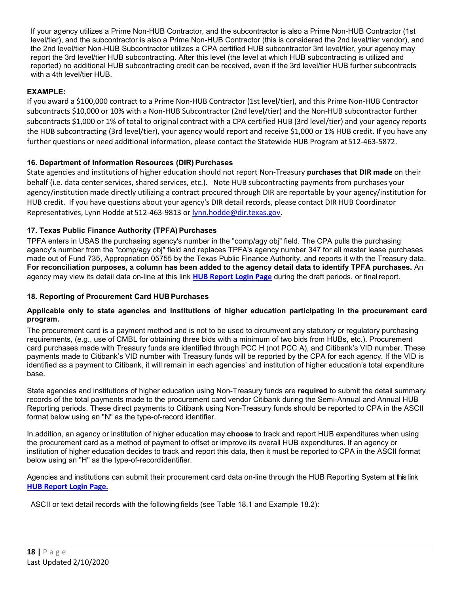If your agency utilizes a Prime Non-HUB Contractor, and the subcontractor is also a Prime Non-HUB Contractor (1st level/tier), and the subcontractor is also a Prime Non-HUB Contractor (this is considered the 2nd level/tier vendor), and the 2nd level/tier Non-HUB Subcontractor utilizes a CPA certified HUB subcontractor 3rd level/tier, your agency may report the 3rd level/tier HUB subcontracting. After this level (the level at which HUB subcontracting is utilized and reported) no additional HUB subcontracting credit can be received, even if the 3rd level/tier HUB further subcontracts with a 4th level/tier HUB.

## **EXAMPLE:**

If you award a \$100,000 contract to a Prime Non-HUB Contractor (1st level/tier), and this Prime Non-HUB Contractor subcontracts \$10,000 or 10% with a Non-HUB Subcontractor (2nd level/tier) and the Non-HUB subcontractor further subcontracts \$1,000 or 1% of total to original contract with a CPA certified HUB (3rd level/tier) and your agency reports the HUB subcontracting (3rd level/tier), your agency would report and receive \$1,000 or 1% HUB credit. If you have any further questions or need additional information, please contact the Statewide HUB Program at512-463-5872.

## <span id="page-17-0"></span>**16. Department of Information Resources (DIR) Purchases**

State agencies and institutions of higher education should not report Non-Treasury **purchases that DIR made** on their behalf (i.e. data center services, shared services, etc.). Note HUB subcontracting payments from purchases your agency/institution made directly utilizing a contract procured through DIR are reportable by your agency/institution for HUB credit. If you have questions about your agency's DIR detail records, please contact DIR HUB Coordinator Representatives, Lynn Hodde at 512-463-9813 o[r lynn.hodde@dir.texas.gov.](mailto:lynn.hodde@dir.texas.gov)

## **17. Texas Public Finance Authority (TPFA) Purchases**

TPFA enters in USAS the purchasing agency's number in the "comp/agy obj" field. The CPA pulls the purchasing agency's number from the "comp/agy obj" field and replaces TPFA's agency number 347 for all master lease purchases made out of Fund 735, Appropriation 05755 by the Texas Public Finance Authority, and reports it with the Treasury data. **For reconciliation purposes, a column has been added to the agency detail data to identify TPFA purchases.** An agency may view its detail data on-line at this link **[HUB Report Login Page](https://checkout.na1.netsuite.com/c.852252/checkout/login.ssp?n=2&login=T%23login-register)** during the draft periods, or finalreport.

## <span id="page-17-1"></span>**18. Reporting of Procurement Card HUB Purchases**

#### **Applicable only to state agencies and institutions of higher education participating in the procurement card program.**

The procurement card is a payment method and is not to be used to circumvent any statutory or regulatory purchasing requirements, (e.g., use of CMBL for obtaining three bids with a minimum of two bids from HUBs, etc.). Procurement card purchases made with Treasury funds are identified through PCC H (not PCC A), and Citibank's VID number. These payments made to Citibank's VID number with Treasury funds will be reported by the CPA for each agency. If the VID is identified as a payment to Citibank, it will remain in each agencies' and institution of higher education's total expenditure base.

State agencies and institutions of higher education using Non-Treasury funds are **required** to submit the detail summary records of the total payments made to the procurement card vendor Citibank during the Semi-Annual and Annual HUB Reporting periods. These direct payments to Citibank using Non-Treasury funds should be reported to CPA in the ASCII format below using an "N" as the type-of-record identifier.

In addition, an agency or institution of higher education may **choose** to track and report HUB expenditures when using the procurement card as a method of payment to offset or improve its overall HUB expenditures. If an agency or institution of higher education decides to track and report this data, then it must be reported to CPA in the ASCII format below using an "H" as the type-of-recordidentifier.

Agencies and institutions can submit their procurement card data on-line through the HUB Reporting System at this link **[HUB Report Login Page.](https://checkout.na1.netsuite.com/c.852252/checkout/login.ssp?n=2&login=T%23login-register)**

ASCII or text detail records with the following fields (see Table 18.1 and Example 18.2):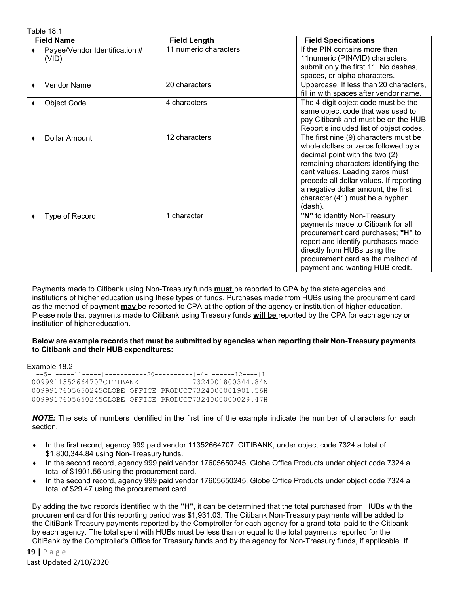Table 18.1

| <b>Field Name</b>                      | <b>Field Length</b>   | <b>Field Specifications</b>                                                                                                                                                                                                                                                                                                |
|----------------------------------------|-----------------------|----------------------------------------------------------------------------------------------------------------------------------------------------------------------------------------------------------------------------------------------------------------------------------------------------------------------------|
| Payee/Vendor Identification #<br>(VID) | 11 numeric characters | If the PIN contains more than<br>11numeric (PIN/VID) characters,<br>submit only the first 11. No dashes,<br>spaces, or alpha characters.                                                                                                                                                                                   |
| <b>Vendor Name</b><br>٠                | 20 characters         | Uppercase. If less than 20 characters,<br>fill in with spaces after vendor name.                                                                                                                                                                                                                                           |
| <b>Object Code</b><br>٠                | 4 characters          | The 4-digit object code must be the<br>same object code that was used to<br>pay Citibank and must be on the HUB<br>Report's included list of object codes.                                                                                                                                                                 |
| <b>Dollar Amount</b>                   | 12 characters         | The first nine (9) characters must be<br>whole dollars or zeros followed by a<br>decimal point with the two (2)<br>remaining characters identifying the<br>cent values. Leading zeros must<br>precede all dollar values. If reporting<br>a negative dollar amount, the first<br>character (41) must be a hyphen<br>(dash). |
| Type of Record<br>٠                    | 1 character           | "N" to identify Non-Treasury<br>payments made to Citibank for all<br>procurement card purchases; "H" to<br>report and identify purchases made<br>directly from HUBs using the<br>procurement card as the method of<br>payment and wanting HUB credit.                                                                      |

Payments made to Citibank using Non-Treasury funds **must** be reported to CPA by the state agencies and institutions of higher education using these types of funds. Purchases made from HUBs using the procurement card as the method of payment **may** be reported to CPA at the option of the agency or institution of higher education. Please note that payments made to Citibank using Treasury funds **will be** reported by the CPA for each agency or institution of highereducation.

#### **Below are example records that must be submitted by agencies when reporting their Non-Treasury payments to Citibank and their HUB expenditures:**

Example 18.2

|--5-|-----11-----|-----------20----------|-4-|------12----|1| 0099911352664707CITIBANK 0099917605650245GLOBE OFFICE PRODUCT7324000001901.56H 0099917605650245GLOBE OFFICE PRODUCT7324000000029.47H

*NOTE:* The sets of numbers identified in the first line of the example indicate the number of characters for each section.

- In the first record, agency 999 paid vendor 11352664707, CITIBANK, under object code 7324 a total of \$1,800,344.84 using Non-Treasury funds.
- ♦ In the second record, agency 999 paid vendor 17605650245, Globe Office Products under object code 7324 a total of \$1901.56 using the procurement card.
- ♦ In the second record, agency 999 paid vendor 17605650245, Globe Office Products under object code 7324 a total of \$29.47 using the procurement card.

By adding the two records identified with the **"H"**, it can be determined that the total purchased from HUBs with the procurement card for this reporting period was \$1,931.03. The Citibank Non-Treasury payments will be added to the CitiBank Treasury payments reported by the Comptroller for each agency for a grand total paid to the Citibank by each agency. The total spent with HUBs must be less than or equal to the total payments reported for the CitiBank by the Comptroller's Office for Treasury funds and by the agency for Non-Treasury funds, if applicable. If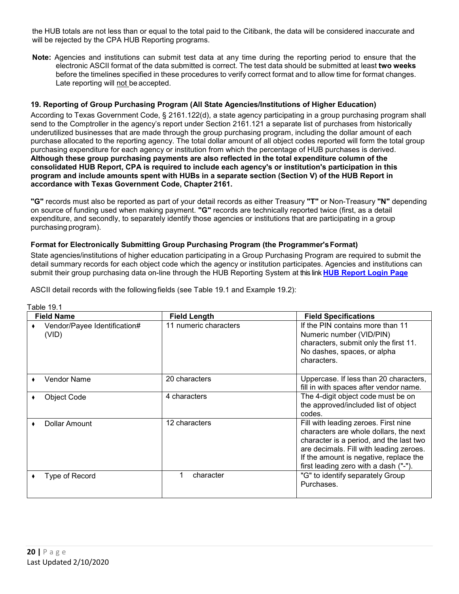the HUB totals are not less than or equal to the total paid to the Citibank, the data will be considered inaccurate and will be rejected by the CPA HUB Reporting programs.

**Note:** Agencies and institutions can submit test data at any time during the reporting period to ensure that the electronic ASCII format of the data submitted is correct. The test data should be submitted at least **two weeks**  before the timelines specified in these procedures to verify correct format and to allow time for format changes. Late reporting will not be accepted.

## **19. Reporting of Group Purchasing Program (All State Agencies/Institutions of Higher Education)**

According to Texas Government Code, § 2161.122(d), a state agency participating in a group purchasing program shall send to the Comptroller in the agency's report under Section 2161.121 a separate list of purchases from historically underutilized businesses that are made through the group purchasing program, including the dollar amount of each purchase allocated to the reporting agency. The total dollar amount of all object codes reported will form the total group purchasing expenditure for each agency or institution from which the percentage of HUB purchases is derived. **Although these group purchasing payments are also reflected in the total expenditure column of the consolidated HUB Report, CPA is required to include each agency's or institution's participation in this program and include amounts spent with HUBs in a separate section (Section V) of the HUB Report in accordance with Texas Government Code, Chapter 2161.**

**"G"** records must also be reported as part of your detail records as either Treasury **"T"** or Non-Treasury **"N"** depending on source of funding used when making payment. **"G"** records are technically reported twice (first, as a detail expenditure, and secondly, to separately identify those agencies or institutions that are participating in a group purchasing program).

#### **Format for Electronically Submitting Group Purchasing Program (the Programmer'sFormat)**

State agencies/institutions of higher education participating in a Group Purchasing Program are required to submit the detail summary records for each object code which the agency or institution participates. Agencies and institutions can submit their group purchasing data on-line through the HUB Reporting System at this link **[HUB Report Login Page](https://checkout.na1.netsuite.com/c.852252/checkout/login.ssp?n=2&login=T%23login-register)**

(VID)

ASCII detail records with the following fields (see Table 19.1 and Example 19.2):

| <b>Field Name</b>                     | <b>Field Length</b>   | <b>Field Specifications</b>                                                                                                                                                                                                                             |
|---------------------------------------|-----------------------|---------------------------------------------------------------------------------------------------------------------------------------------------------------------------------------------------------------------------------------------------------|
| Vendor/Payee Identification#<br>(VID) | 11 numeric characters | If the PIN contains more than 11<br>Numeric number (VID/PIN)<br>characters, submit only the first 11.<br>No dashes, spaces, or alpha<br>characters.                                                                                                     |
| Vendor Name                           | 20 characters         | Uppercase. If less than 20 characters,<br>fill in with spaces after vendor name.                                                                                                                                                                        |
| <b>Object Code</b>                    | 4 characters          | The 4-digit object code must be on<br>the approved/included list of object<br>codes.                                                                                                                                                                    |
| Dollar Amount                         | 12 characters         | Fill with leading zeroes. First nine<br>characters are whole dollars, the next<br>character is a period, and the last two<br>are decimals. Fill with leading zeroes.<br>If the amount is negative, replace the<br>first leading zero with a dash ("-"). |
| Type of Record                        | 1<br>character        | "G" to identify separately Group<br>Purchases.                                                                                                                                                                                                          |

#### Table 19.1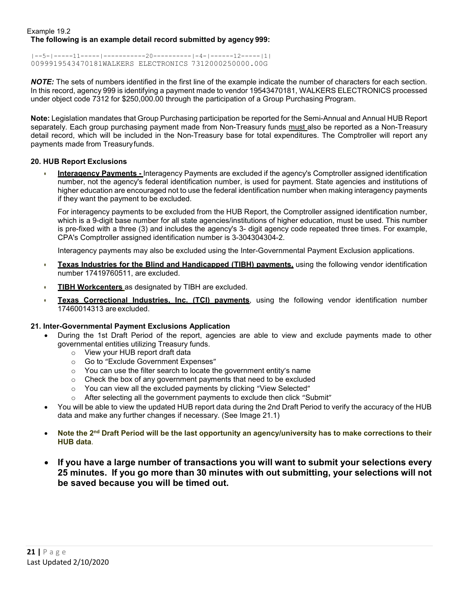#### Example 19.2 **The following is an example detail record submitted by agency 999:**

 $|--5-|---11---|-|----|-20------|-|-4-|----12---|-11|$ 0099919543470181WALKERS ELECTRONICS 7312000250000.00G

*NOTE:* The sets of numbers identified in the first line of the example indicate the number of characters for each section. In this record, agency 999 is identifying a payment made to vendor 19543470181, WALKERS ELECTRONICS processed under object code 7312 for \$250,000.00 through the participation of a Group Purchasing Program.

**Note:** Legislation mandates that Group Purchasing participation be reported for the Semi-Annual and Annual HUB Report separately. Each group purchasing payment made from Non-Treasury funds must also be reported as a Non-Treasury detail record, which will be included in the Non-Treasury base for total expenditures. The Comptroller will report any payments made from Treasuryfunds.

## <span id="page-20-0"></span>**20. HUB Report Exclusions**

• **Interagency Payments -** Interagency Payments are excluded if the agency's Comptroller assigned identification number, not the agency's federal identification number, is used for payment. State agencies and institutions of higher education are encouraged not to use the federal identification number when making interagency payments if they want the payment to be excluded.

For interagency payments to be excluded from the HUB Report, the Comptroller assigned identification number, which is a 9-digit base number for all state agencies/institutions of higher education, must be used. This number is pre-fixed with a three (3) and includes the agency's 3- digit agency code repeated three times. For example, CPA's Comptroller assigned identification number is 3-304304304-2.

Interagency payments may also be excluded using the Inter-Governmental Payment Exclusion applications.

- **Texas Industries for the Blind and Handicapped (TIBH) payments,** using the following vendor identification number 17419760511, are excluded.
- **TIBH Workcenters** as designated by TIBH are excluded.
- **Texas Correctional Industries, Inc. (TCI) payments**, using the following vendor identification number 17460014313 are excluded.

## **21. Inter-Governmental Payment Exclusions Application**

- During the 1st Draft Period of the report, agencies are able to view and exclude payments made to other governmental entities utilizing Treasury funds.
	- o View your HUB report draft data
	- o Go to "Exclude Government Expenses"
	- $\circ$  You can use the filter search to locate the government entity's name
	- o Check the box of any government payments that need to be excluded
	- o You can view all the excluded payments by clicking "View Selected"
	- o After selecting all the government payments to exclude then click "Submit"
- You will be able to view the updated HUB report data during the 2nd Draft Period to verify the accuracy of the HUB data and make any further changes if necessary. (See Image 21.1)
- **Note the 2nd Draft Period will be the last opportunity an agency/university has to make corrections to their HUB data**.
- **If you have a large number of transactions you will want to submit your selections every 25 minutes. If you go more than 30 minutes with out submitting, your selections will not be saved because you will be timed out.**